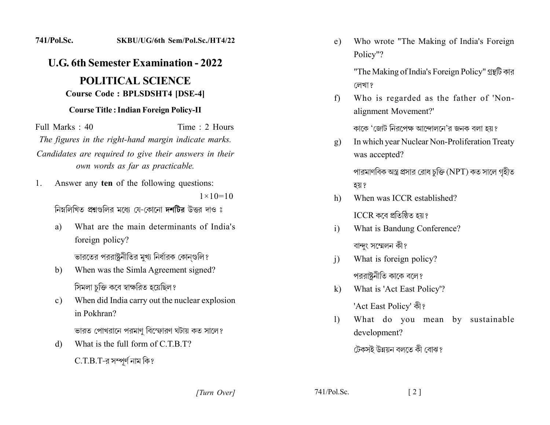## 741/Pol.Sc. SKBU/UG/6th Sem/Pol.Sc./HT4/22

## **U.G. 6th Semester Examination - 2022 POLITICAL SCIENCE Course Code: BPLSDSHT4 [DSE-4]**

## **Course Title: Indian Foreign Policy-II**

Full Marks  $\cdot$  40 Time  $\cdot$  2 Hours The figures in the right-hand margin indicate marks. Candidates are required to give their answers in their own words as far as practicable.

Answer any ten of the following questions:  $1_{-}$ 

 $1 \times 10 = 10$ 

নিম্নলিখিত প্রশ্নগুলির মধ্যে যে-কোনো দশটির উত্তর দাও ঃ

What are the main determinants of India's a) foreign policy?

ভারতের পররাষ্ট্রনীতির মুখ্য নির্ধারক কোনগুলি?

- When was the Simla Agreement signed? b) সিমলা চুক্তি কবে স্বাক্ষরিত হয়েছিল?
- When did India carry out the nuclear explosion  $c)$ in Pokhran?

ভারত পোখরানে পরমাণ বিস্ফোরণ ঘটায় কত সালে?

What is the full form of  $C T B T$ ? d)

 $C.T.B.T$ -র সম্পূর্ণ নাম কি?

Who wrote "The Making of India's Foreign e) Policy"?

> "The Making of India's Foreign Policy" গ্রন্থটি কার লেখা ?

Who is regarded as the father of 'Non $f$ alignment Movement?'

কাকে 'জোট নিরপেক্ষ আন্দোলনে'র জনক বলা হয়?

In which year Nuclear Non-Proliferation Treaty  $\mathbf{g}$ ) was accepted?

পারমাণবিক অস্ত্র প্রসার রোধ চুক্তি (NPT) কত সালে গৃহীত হয় ?

When was ICCR established?  $h$ )

ICCR কৰে প্ৰতিষ্ঠিত হয়?

- What is Bandung Conference?  $\mathbf{i}$ বান্দং সম্মেলন কী?
- What is foreign policy?  $\mathbf{i}$ পররাষ্টনীতি কাকে বলে?
- $k)$ What is 'Act East Policy'? 'Act East Policy' कौ?
- What do you mean by sustainable  $\mathbf{D}$ development?

 $\lceil 2 \rceil$ 

টেকসই উন্নয়ন বলতে কী বোঝ?

[Turn Over]

 $741/Pol.Sc.$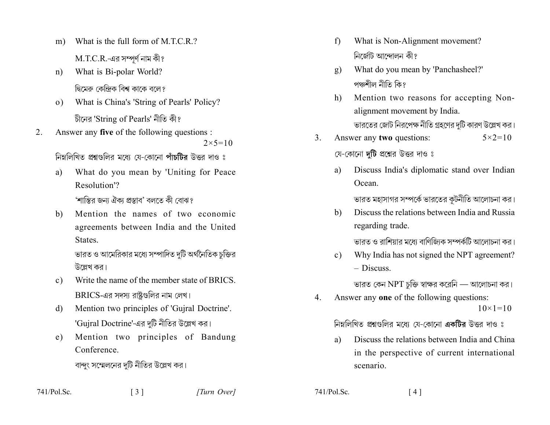- What is the full form of M.T.C.R.?  $m)$  $M.T.C.R.$ -এর সম্পূর্ণ নাম কী?
- What is Bi-polar World?  $n)$ দ্বিমেরু কেন্দ্রিক বিশ্ব কাকে বলে?
- What is China's 'String of Pearls' Policy?  $(0)$ চীনের 'String of Pearls' নীতি কী?
- Answer any five of the following questions :  $2_{-}$  $2 \times 5 = 10$

নিম্নলিখিত প্রশ্নগুলির মধ্যে যে-কোনো পাঁচটির উত্তর দাও ঃ

- What do you mean by 'Uniting for Peace a) Resolution'? 'শান্তির জন্য ঐক্য প্রস্তাব' বলতে কী বোঝ?
- Mention the names of two economic  $b)$ agreements between India and the United States.

ভারত ও আমেরিকার মধ্যে সম্পাদিত দুটি অর্থনৈতিক চুক্তির উল্লেখ কর।

- Write the name of the member state of BRICS.  $\mathbf{c}$ ) BRICS-এর সদস্য রাষ্টগুলির নাম লেখ।
- Mention two principles of 'Guiral Doctrine'. d) 'Gujral Doctrine'-এর দুটি নীতির উল্লেখ কর।
- Mention two principles of Bandung e) Conference

বান্দুং সম্মেলনের দুটি নীতির উল্লেখ কর।

 $\lceil 3 \rceil$ 

- What is Non-Alignment movement?  $f$ নিৰ্জেটি আন্দোলন কী?
- What do you mean by 'Panchasheel?' g) পঞ্চশীল নীতি কি?
- Mention two reasons for accepting Non $h)$ alignment movement by India. ভারতের জোট নিরপেক্ষ নীতি গ্রহণের দটি কারণ উল্লেখ কর।
- Answer any two questions:  $\mathcal{E}$  $5 \times 2 = 10$

যে-কোনো দটি প্রশ্নের উত্তর দাও ঃ

Discuss India's diplomatic stand over Indian a) Ocean.

ভারত মহাসাগর সম্পর্কে ভারতের কূটনীতি আলোচনা কর।

Discuss the relations between India and Russia b) regarding trade.

ভারত ও রাশিয়ার মধ্যে বাণিজ্যিক সম্পর্কটি আলোচনা কর।

Why India has not signed the NPT agreement?  $c)$  $-$  Discuss

ভারত কেন NPT চুক্তি স্বাক্ষর করেনি — আলোচনা কর।

Answer any one of the following questions:  $\overline{4}$ .  $10 \times 1 = 10$ 

নিম্নলিখিত প্রশ্নগুলির মধ্যে যে-কোনো একটির উত্তর দাও ঃ

Discuss the relations between India and China a) in the perspective of current international scenario

 $741/Pol$ . Sc.